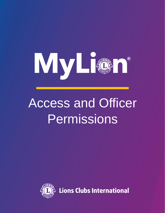

## Access and Officer Permissions



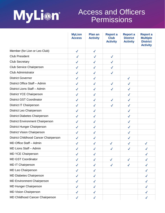

## Access and Officers **Permissions**

|                                         | <b>MyLion</b><br><b>Access</b> | <b>Plan an</b><br><b>Activity</b> | <b>Report a</b><br><b>Club</b><br><b>Activity</b> | <b>Report a</b><br><b>District</b><br><b>Activity</b> | <b>Report a</b><br><b>Multiple</b><br><b>District</b><br><b>Activity</b> |
|-----------------------------------------|--------------------------------|-----------------------------------|---------------------------------------------------|-------------------------------------------------------|--------------------------------------------------------------------------|
| Member (for Lion or Leo Club)           | $\checkmark$                   | $\checkmark$                      |                                                   |                                                       |                                                                          |
| <b>Club President</b>                   | $\checkmark$                   | $\checkmark$                      | $\checkmark$                                      |                                                       |                                                                          |
| <b>Club Secretary</b>                   | $\checkmark$                   | $\checkmark$                      | $\checkmark$                                      |                                                       |                                                                          |
| <b>Club Service Chairperson</b>         | $\checkmark$                   | $\checkmark$                      | $\checkmark$                                      |                                                       |                                                                          |
| <b>Club Administrator</b>               | $\checkmark$                   | $\checkmark$                      | $\checkmark$                                      |                                                       |                                                                          |
| <b>District Governor</b>                | $\checkmark$                   | $\checkmark$                      |                                                   | $\checkmark$                                          |                                                                          |
| District Office Staff - Admin           | $\checkmark$                   | $\checkmark$                      | $\checkmark$                                      | $\checkmark$                                          |                                                                          |
| District Lions Staff - Admin            | $\checkmark$                   | $\checkmark$                      | $\checkmark$                                      | $\checkmark$                                          |                                                                          |
| <b>District YCE Chairperson</b>         | $\checkmark$                   | $\checkmark$                      |                                                   | $\checkmark$                                          |                                                                          |
| <b>District GST Coordinator</b>         | $\checkmark$                   | $\checkmark$                      | $\checkmark$                                      | $\checkmark$                                          |                                                                          |
| <b>District IT Chairperson</b>          | $\checkmark$                   | $\checkmark$                      | $\checkmark$                                      | $\checkmark$                                          |                                                                          |
| District Leo Chairperson                | $\checkmark$                   | $\checkmark$                      |                                                   | $\checkmark$                                          |                                                                          |
| <b>District Diabetes Chairperson</b>    | $\checkmark$                   | $\checkmark$                      |                                                   | $\checkmark$                                          |                                                                          |
| <b>District Environment Chairperson</b> | $\checkmark$                   | $\checkmark$                      |                                                   | $\checkmark$                                          |                                                                          |
| District Hunger Chairperson             | $\checkmark$                   | ✓                                 |                                                   | $\checkmark$                                          |                                                                          |
| <b>District Vision Chairperson</b>      | $\checkmark$                   | $\checkmark$                      |                                                   | $\checkmark$                                          |                                                                          |
| District Childhood Cancer Chairperson   | $\checkmark$                   | $\checkmark$                      |                                                   | $\checkmark$                                          |                                                                          |
| MD Office Staff - Admin                 | $\checkmark$                   | ✓                                 | $\checkmark$                                      | ✓                                                     | $\checkmark$                                                             |
| MD Lions Staff - Admin                  | $\checkmark$                   | $\checkmark$                      | $\checkmark$                                      | $\checkmark$                                          | ✓                                                                        |
| <b>MD YCE Chairperson</b>               | $\checkmark$                   | $\checkmark$                      |                                                   |                                                       | $\checkmark$                                                             |
| <b>MD GST Coordinator</b>               | $\checkmark$                   | $\checkmark$                      | $\checkmark$                                      | $\checkmark$                                          | $\checkmark$                                                             |
| <b>MD IT Chairperson</b>                | $\checkmark$                   | $\checkmark$                      | $\checkmark$                                      | $\checkmark$                                          | $\checkmark$                                                             |
| MD Leo Chairperson                      | $\checkmark$                   | $\checkmark$                      |                                                   |                                                       | $\checkmark$                                                             |
| <b>MD Diabetes Chairperson</b>          | $\checkmark$                   | $\checkmark$                      |                                                   |                                                       | $\checkmark$                                                             |
| <b>MD Environment Chairperson</b>       | $\checkmark$                   | $\checkmark$                      |                                                   |                                                       | $\checkmark$                                                             |
| <b>MD Hunger Chairperson</b>            | $\checkmark$                   | ✓                                 |                                                   |                                                       | ✓                                                                        |
| <b>MD Vision Chairperson</b>            | $\checkmark$                   | $\checkmark$                      |                                                   |                                                       | $\checkmark$                                                             |
| MD Childhood Cancer Chairperson         | $\checkmark$                   | $\checkmark$                      |                                                   |                                                       | $\checkmark$                                                             |